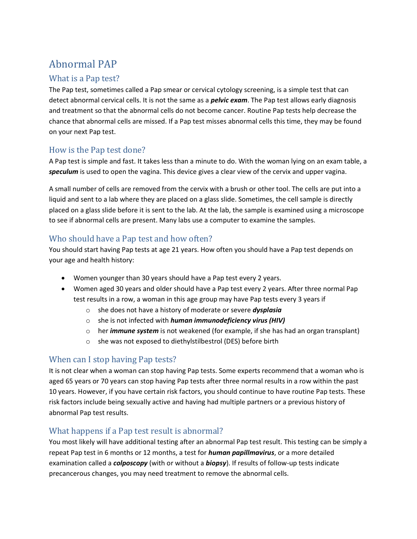# Abnormal PAP

### What is a Pap test?

The Pap test, sometimes called a Pap smear or cervical cytology screening, is a simple test that can detect abnormal cervical cells. It is not the same as a *pelvic exam*. The Pap test allows early diagnosis and treatment so that the abnormal cells do not become cancer. Routine Pap tests help decrease the chance that abnormal cells are missed. If a Pap test misses abnormal cells this time, they may be found on your next Pap test.

#### How is the Pap test done?

A Pap test is simple and fast. It takes less than a minute to do. With the woman lying on an exam table, a *speculum* is used to open the vagina. This device gives a clear view of the cervix and upper vagina.

A small number of cells are removed from the cervix with a brush or other tool. The cells are put into a liquid and sent to a lab where they are placed on a glass slide. Sometimes, the cell sample is directly placed on a glass slide before it is sent to the lab. At the lab, the sample is examined using a microscope to see if abnormal cells are present. Many labs use a computer to examine the samples.

## Who should have a Pap test and how often?

You should start having Pap tests at age 21 years. How often you should have a Pap test depends on your age and health history:

- Women younger than 30 years should have a Pap test every 2 years.
- Women aged 30 years and older should have a Pap test every 2 years. After three normal Pap test results in a row, a woman in this age group may have Pap tests every 3 years if
	- o she does not have a history of moderate or severe *dysplasia*
	- o she is not infected with *human immunodeficiency virus (HIV)*
	- o her *immune system* is not weakened (for example, if she has had an organ transplant)
	- o she was not exposed to diethylstilbestrol (DES) before birth

#### When can I stop having Pap tests?

It is not clear when a woman can stop having Pap tests. Some experts recommend that a woman who is aged 65 years or 70 years can stop having Pap tests after three normal results in a row within the past 10 years. However, if you have certain risk factors, you should continue to have routine Pap tests. These risk factors include being sexually active and having had multiple partners or a previous history of abnormal Pap test results.

#### What happens if a Pap test result is abnormal?

You most likely will have additional testing after an abnormal Pap test result. This testing can be simply a repeat Pap test in 6 months or 12 months, a test for *human papillmavirus*, or a more detailed examination called a *colposcopy* (with or without a *biopsy*). If results of follow-up tests indicate precancerous changes, you may need treatment to remove the abnormal cells.